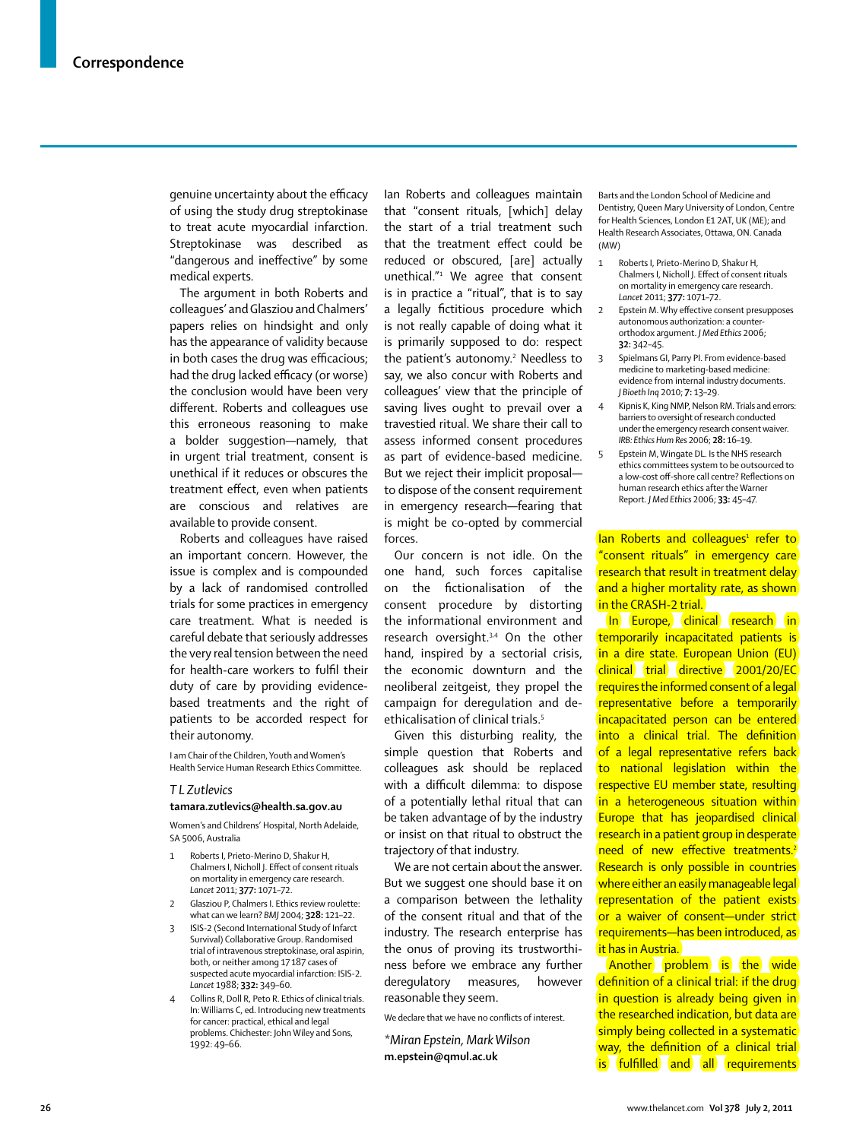genuine uncertainty about the efficacy of using the study drug streptokinase to treat acute myocardial infarction. Streptokinase was described as "dangerous and ineffective" by some medical experts.

The argument in both Roberts and colleagues' and Glasziou and Chalmers' papers relies on hindsight and only has the appearance of validity because in both cases the drug was efficacious; had the drug lacked efficacy (or worse) the conclusion would have been very different. Roberts and colleagues use this erroneous reasoning to make a bolder suggestion—namely, that in urgent trial treatment, consent is unethical if it reduces or obscures the treatment effect, even when patients are conscious and relatives are available to provide consent.

Roberts and colleagues have raised an important concern. However, the issue is complex and is compounded by a lack of randomised controlled trials for some practices in emergency care treatment. What is needed is careful debate that seriously addresses the very real tension between the need for health-care workers to fulfil their duty of care by providing evidencebased treatments and the right of patients to be accorded respect for their autonomy.

I am Chair of the Children, Youth and Women's Health Service Human Research Ethics Committee.

#### *T L Zutlevics*

#### **tamara.zutlevics@health.sa.gov.au**

Women's and Childrens' Hospital, North Adelaide, SA 5006, Australia

- 1 Roberts I, Prieto-Merino D, Shakur H, Chalmers I, Nicholl J. Effect of consent rituals on mortality in emergency care research. *Lancet* 2011; **377:** 1071–72.
- 2 Glasziou P, Chalmers I. Ethics review roulette: what can we learn? *BMJ* 2004; **328:** 121–22.
- 3 ISIS-2 (Second International Study of Infarct Survival) Collaborative Group. Randomised trial of intravenous streptokinase, oral aspirin, both, or neither among 17 187 cases of suspected acute myocardial infarction: ISIS-2. *Lancet* 1988; **332:** 349–60.
- Collins R, Doll R, Peto R. Ethics of clinical trials. In: Williams C, ed. Introducing new treatments for cancer: practical, ethical and legal problems. Chichester: John Wiley and Sons, 1992: 49–66.

Ian Roberts and colleagues maintain that "consent rituals, [which] delay the start of a trial treatment such that the treatment effect could be reduced or obscured, [are] actually unethical."1 We agree that consent is in practice a "ritual", that is to say a legally fictitious procedure which is not really capable of doing what it is primarily supposed to do: respect the patient's autonomy.<sup>2</sup> Needless to say, we also concur with Roberts and colleagues' view that the principle of saving lives ought to prevail over a travestied ritual. We share their call to assess informed consent procedures as part of evidence-based medicine. But we reject their implicit proposal to dispose of the consent requirement in emergency research—fearing that is might be co-opted by commercial forces.

Our concern is not idle. On the one hand, such forces capitalise on the fictionalisation of the consent procedure by distorting the informational environment and research oversight.3,4 On the other hand, inspired by a sectorial crisis, the economic downturn and the neoliberal zeitgeist, they propel the campaign for deregulation and deethicalisation of clinical trials.<sup>5</sup>

Given this disturbing reality, the simple question that Roberts and colleagues ask should be replaced with a difficult dilemma: to dispose of a potentially lethal ritual that can be taken advantage of by the industry or insist on that ritual to obstruct the trajectory of that industry.

We are not certain about the answer. But we suggest one should base it on a comparison between the lethality of the consent ritual and that of the industry. The research enterprise has the onus of proving its trustworthiness before we embrace any further deregulatory measures, however reasonable they seem.

We declare that we have no conflicts of interest.

*\*Miran Epstein, Mark Wilson* **m.epstein@qmul.ac.uk**

Barts and the London School of Medicine and Dentistry, Queen Mary University of London, Centre for Health Sciences, London E1 2AT, UK (ME); and Health Research Associates, Ottawa, ON. Canada (MW)

- 1 Roberts I, Prieto-Merino D, Shakur H, Chalmers I, Nicholl J. Effect of consent rituals on mortality in emergency care research. *Lancet* 2011; **377:** 1071–72.
- 2 Epstein M. Why effective consent presupposes autonomous authorization: a counterorthodox argument. *J Med Ethics* 2006; **32:** 342–45.
- 3 Spielmans GI, Parry PI. From evidence-based medicine to marketing-based medicine: evidence from internal industry documents. *J Bioeth Inq* 2010; **7:** 13–29.
- Kipnis K, King NMP, Nelson RM. Trials and errors: barriers to oversight of research conducted under the emergency research consent waiver. *IRB: Ethics Hum Res* 2006; **28:** 16–19.
- 5 Epstein M, Wingate DL. Is the NHS research ethics committees system to be outsourced to a low-cost off-shore call centre? Reflections on human research ethics after the Warner Report. *J Med Ethics* 2006; **33:** 45–47.

lan Roberts and colleagues<sup>1</sup> refer to "consent rituals" in emergency care research that result in treatment delay and a higher mortality rate, as shown in the CRASH-2 trial.

In Europe, clinical research in temporarily incapacitated patients is in a dire state. European Union (EU) clinical trial directive 2001/20/EC requires the informed consent of a legal representative before a temporarily incapacitated person can be entered into a clinical trial. The definition of a legal representative refers back to national legislation within the respective EU member state, resulting in a heterogeneous situation within Europe that has jeopardised clinical research in a patient group in desperate need of new effective treatments.<sup>2</sup> Research is only possible in countries where either an easily manageable legal representation of the patient exists or a waiver of consent—under strict requirements—has been introduced, as it has in Austria.

Another problem is the wide definition of a clinical trial: if the drug in question is already being given in the researched indication, but data are simply being collected in a systematic way, the definition of a clinical trial is fulfilled and all requirements